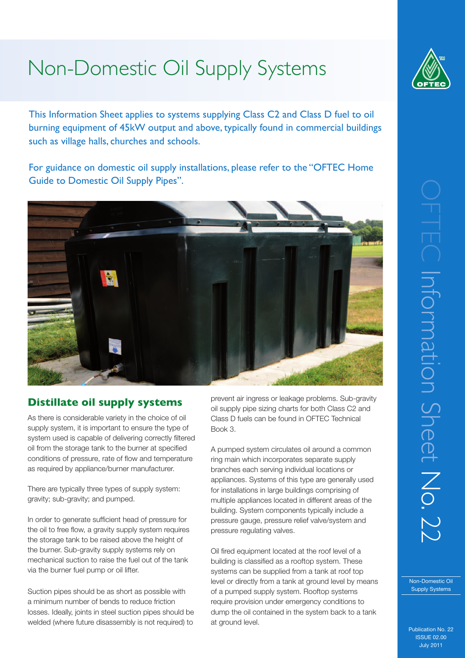# Non-Domestic Oil Supply Systems

This Information Sheet applies to systems supplying Class C2 and Class D fuel to oil burning equipment of 45kW output and above, typically found in commercial buildings such as village halls, churches and schools.

For guidance on domestic oil supply installations, please refer to the "OFTEC Home Guide to Domestic Oil Supply Pipes".



## **Distillate oil supply systems**

As there is considerable variety in the choice of oil supply system, it is important to ensure the type of system used is capable of delivering correctly filtered oil from the storage tank to the burner at specified conditions of pressure, rate of flow and temperature as required by appliance/burner manufacturer.

There are typically three types of supply system: gravity; sub-gravity; and pumped.

In order to generate sufficient head of pressure for the oil to free flow, a gravity supply system requires the storage tank to be raised above the height of the burner. Sub-gravity supply systems rely on mechanical suction to raise the fuel out of the tank via the burner fuel pump or oil lifter.

Suction pipes should be as short as possible with a minimum number of bends to reduce friction losses. Ideally, joints in steel suction pipes should be welded (where future disassembly is not required) to prevent air ingress or leakage problems. Sub-gravity oil supply pipe sizing charts for both Class C2 and Class D fuels can be found in OFTEC Technical Book 3.

A pumped system circulates oil around a common ring main which incorporates separate supply branches each serving individual locations or appliances. Systems of this type are generally used for installations in large buildings comprising of multiple appliances located in different areas of the building. System components typically include a pressure gauge, pressure relief valve/system and pressure regulating valves.

Oil fired equipment located at the roof level of a building is classified as a rooftop system. These systems can be supplied from a tank at roof top level or directly from a tank at ground level by means of a pumped supply system. Rooftop systems require provision under emergency conditions to dump the oil contained in the system back to a tank at ground level.



Non-Domestic Oil Supply Systems

Publication No. 22 ISSUE 02.00 July 2011